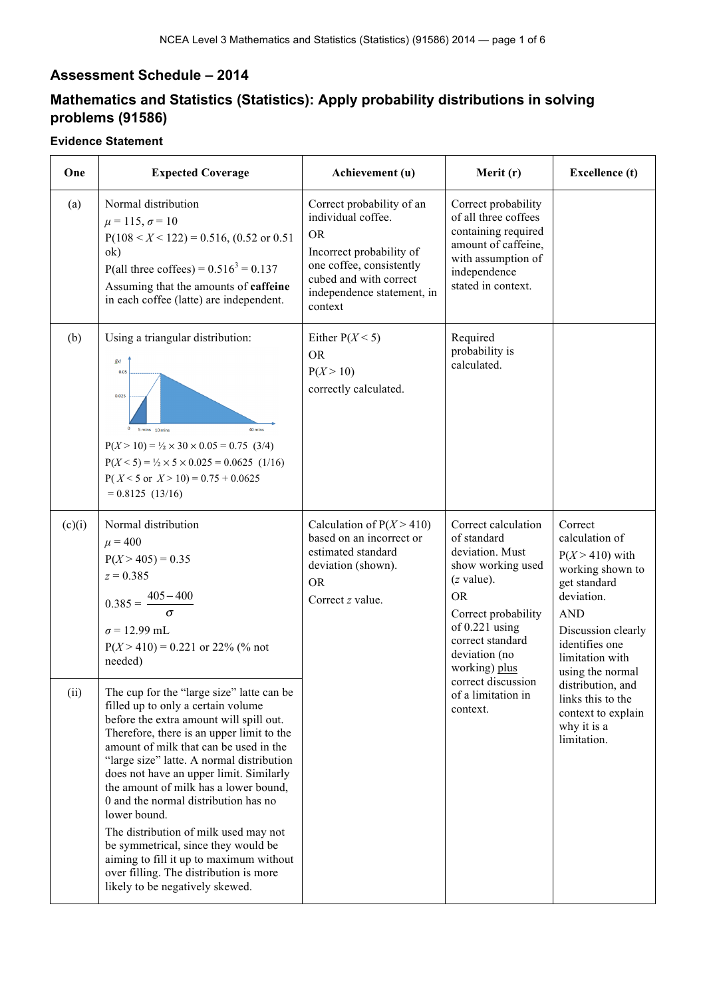## **Assessment Schedule – 2014**

# **Mathematics and Statistics (Statistics): Apply probability distributions in solving problems (91586)**

#### **Evidence Statement**

| One    | <b>Expected Coverage</b>                                                                                                                                                                                                                                                                                                                                                                                                                                                                                                                                                                                           | Achievement (u)                                                                                                                                                                         | Merit (r)                                                                                                                                                                                                | <b>Excellence</b> (t)                                                                                                                                                                         |
|--------|--------------------------------------------------------------------------------------------------------------------------------------------------------------------------------------------------------------------------------------------------------------------------------------------------------------------------------------------------------------------------------------------------------------------------------------------------------------------------------------------------------------------------------------------------------------------------------------------------------------------|-----------------------------------------------------------------------------------------------------------------------------------------------------------------------------------------|----------------------------------------------------------------------------------------------------------------------------------------------------------------------------------------------------------|-----------------------------------------------------------------------------------------------------------------------------------------------------------------------------------------------|
| (a)    | Normal distribution<br>$\mu = 115, \sigma = 10$<br>$P(108 < X < 122) = 0.516$ , (0.52 or 0.51)<br>ok)<br>P(all three coffees) = $0.516^3$ = 0.137<br>Assuming that the amounts of caffeine<br>in each coffee (latte) are independent.                                                                                                                                                                                                                                                                                                                                                                              | Correct probability of an<br>individual coffee.<br><b>OR</b><br>Incorrect probability of<br>one coffee, consistently<br>cubed and with correct<br>independence statement, in<br>context | Correct probability<br>of all three coffees<br>containing required<br>amount of caffeine,<br>with assumption of<br>independence<br>stated in context.                                                    |                                                                                                                                                                                               |
| (b)    | Using a triangular distribution:<br>f(x)<br>0.05<br>0.025<br>40 mins<br>5 mins 10 mins<br>$P(X > 10) = \frac{1}{2} \times 30 \times 0.05 = 0.75$ (3/4)<br>$P(X \le 5) = \frac{1}{2} \times 5 \times 0.025 = 0.0625$ (1/16)<br>$P(X \le 5 \text{ or } X > 10) = 0.75 + 0.0625$<br>$= 0.8125(13/16)$                                                                                                                                                                                                                                                                                                                 | Either $P(X \le 5)$<br><b>OR</b><br>P(X > 10)<br>correctly calculated.                                                                                                                  | Required<br>probability is<br>calculated.                                                                                                                                                                |                                                                                                                                                                                               |
| (c)(i) | Normal distribution<br>$\mu = 400$<br>$P(X > 405) = 0.35$<br>$z = 0.385$<br>$0.385 = \frac{405 - 400}{5}$<br>$\sigma$ = 12.99 mL<br>$P(X > 410) = 0.221$ or 22% (% not<br>needed)                                                                                                                                                                                                                                                                                                                                                                                                                                  | Calculation of $P(X > 410)$<br>based on an incorrect or<br>estimated standard<br>deviation (shown).<br><b>OR</b><br>Correct z value.                                                    | Correct calculation<br>of standard<br>deviation. Must<br>show working used<br>$(z$ value).<br><b>OR</b><br>Correct probability<br>of $0.221$ using<br>correct standard<br>deviation (no<br>working) plus | Correct<br>calculation of<br>$P(X > 410)$ with<br>working shown to<br>get standard<br>deviation.<br><b>AND</b><br>Discussion clearly<br>identifies one<br>limitation with<br>using the normal |
| (ii)   | The cup for the "large size" latte can be<br>filled up to only a certain volume<br>before the extra amount will spill out.<br>Therefore, there is an upper limit to the<br>amount of milk that can be used in the<br>"large size" latte. A normal distribution<br>does not have an upper limit. Similarly<br>the amount of milk has a lower bound,<br>0 and the normal distribution has no<br>lower bound.<br>The distribution of milk used may not<br>be symmetrical, since they would be<br>aiming to fill it up to maximum without<br>over filling. The distribution is more<br>likely to be negatively skewed. |                                                                                                                                                                                         | correct discussion<br>of a limitation in<br>context.                                                                                                                                                     | distribution, and<br>links this to the<br>context to explain<br>why it is a<br>limitation.                                                                                                    |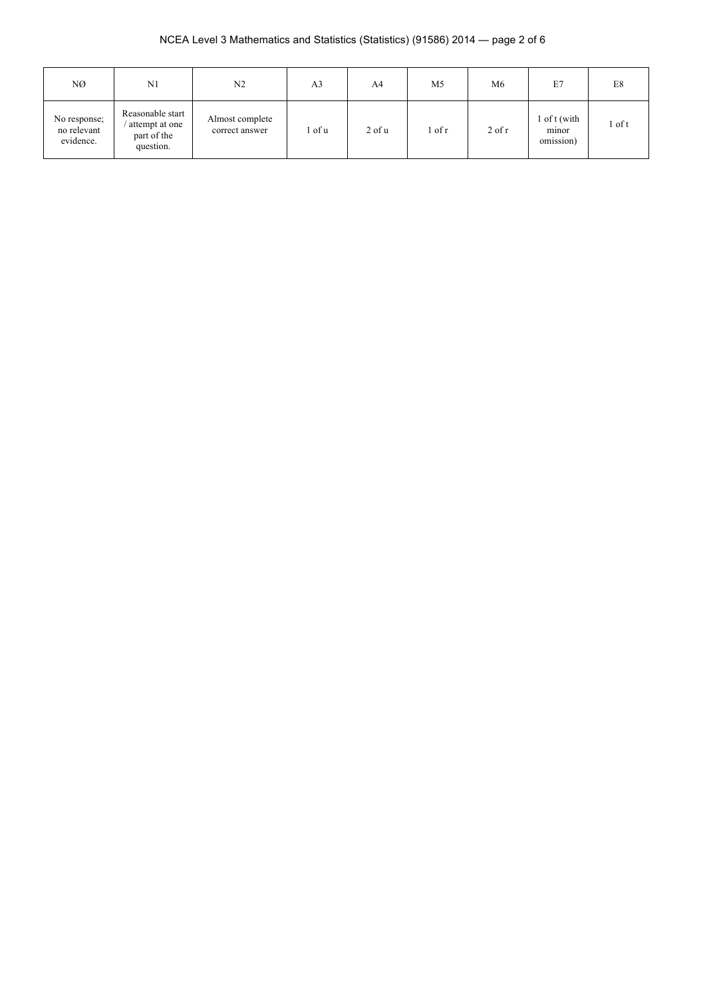### NCEA Level 3 Mathematics and Statistics (Statistics) (91586) 2014 — page 2 of 6

| NØ                                       | N1                                                             | N <sub>2</sub>                    | A <sub>3</sub> | A4       | M <sub>5</sub> | M <sub>6</sub> | E7                                 | E8   |
|------------------------------------------|----------------------------------------------------------------|-----------------------------------|----------------|----------|----------------|----------------|------------------------------------|------|
| No response;<br>no relevant<br>evidence. | Reasonable start<br>attempt at one<br>part of the<br>question. | Almost complete<br>correct answer | l of u         | $2$ of u | 1 of r         | $2$ of r       | 1 of t (with<br>minor<br>omission) | of t |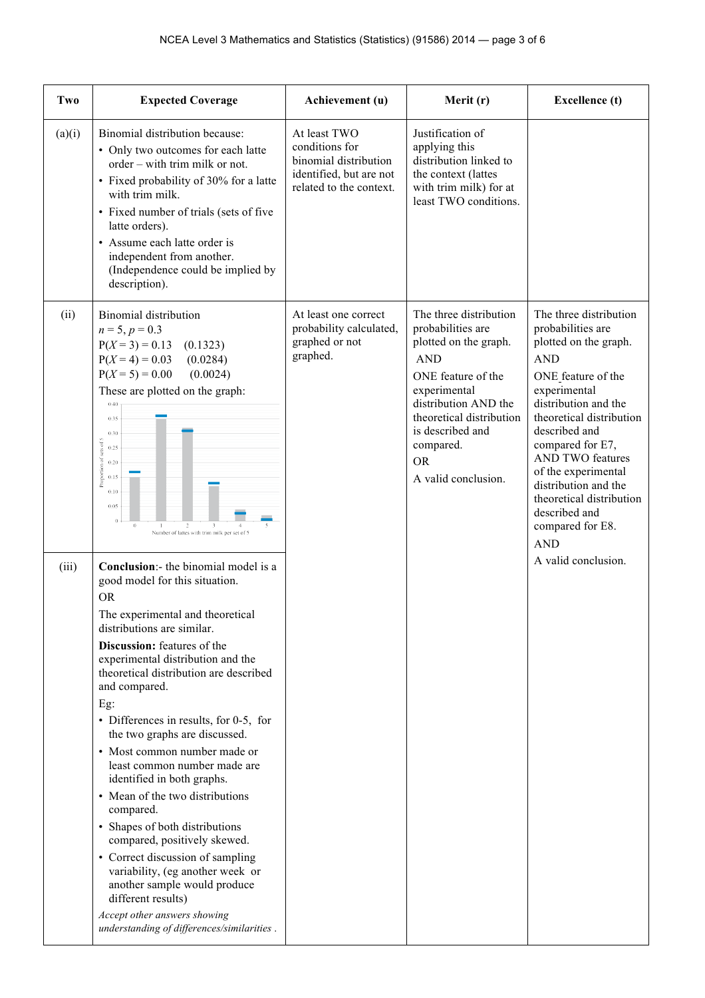| Two    | <b>Expected Coverage</b>                                                                                                                                                                                                                                                                                                                                                                                                                                                                                                                                                                                                                                                                                                                                                                                  | Achievement (u)                                                                                               | Merit (r)                                                                                                                                                                                                                                         | <b>Excellence</b> (t)                                                                                                                                                                                                                                                                                                                                                      |
|--------|-----------------------------------------------------------------------------------------------------------------------------------------------------------------------------------------------------------------------------------------------------------------------------------------------------------------------------------------------------------------------------------------------------------------------------------------------------------------------------------------------------------------------------------------------------------------------------------------------------------------------------------------------------------------------------------------------------------------------------------------------------------------------------------------------------------|---------------------------------------------------------------------------------------------------------------|---------------------------------------------------------------------------------------------------------------------------------------------------------------------------------------------------------------------------------------------------|----------------------------------------------------------------------------------------------------------------------------------------------------------------------------------------------------------------------------------------------------------------------------------------------------------------------------------------------------------------------------|
| (a)(i) | Binomial distribution because:<br>• Only two outcomes for each latte<br>order - with trim milk or not.<br>• Fixed probability of 30% for a latte<br>with trim milk.<br>• Fixed number of trials (sets of five<br>latte orders).<br>• Assume each latte order is<br>independent from another.<br>(Independence could be implied by<br>description).                                                                                                                                                                                                                                                                                                                                                                                                                                                        | At least TWO<br>conditions for<br>binomial distribution<br>identified, but are not<br>related to the context. | Justification of<br>applying this<br>distribution linked to<br>the context (lattes<br>with trim milk) for at<br>least TWO conditions.                                                                                                             |                                                                                                                                                                                                                                                                                                                                                                            |
| (ii)   | <b>Binomial distribution</b><br>$n = 5, p = 0.3$<br>$P(X = 3) = 0.13$<br>(0.1323)<br>$P(X = 4) = 0.03$<br>(0.0284)<br>$P(X = 5) = 0.00$<br>(0.0024)<br>These are plotted on the graph:<br>0.40<br>0.35<br>0.30<br>Proportion of sets of 5<br>0.25<br>0.20<br>0.15<br>0.10<br>0.05<br>$\Omega$<br>$\sqrt{2}$<br>3<br>$\mathbf{I}$<br>Number of lattes with trim milk per set of 5                                                                                                                                                                                                                                                                                                                                                                                                                          | At least one correct<br>probability calculated,<br>graphed or not<br>graphed.                                 | The three distribution<br>probabilities are<br>plotted on the graph.<br><b>AND</b><br>ONE feature of the<br>experimental<br>distribution AND the<br>theoretical distribution<br>is described and<br>compared.<br><b>OR</b><br>A valid conclusion. | The three distribution<br>probabilities are<br>plotted on the graph.<br><b>AND</b><br>ONE feature of the<br>experimental<br>distribution and the<br>theoretical distribution<br>described and<br>compared for E7,<br><b>AND TWO features</b><br>of the experimental<br>distribution and the<br>theoretical distribution<br>described and<br>compared for E8.<br><b>AND</b> |
| (iii)  | Conclusion:- the binomial model is a<br>good model for this situation.<br><b>OR</b><br>The experimental and theoretical<br>distributions are similar.<br><b>Discussion:</b> features of the<br>experimental distribution and the<br>theoretical distribution are described<br>and compared.<br>Eg:<br>• Differences in results, for 0-5, for<br>the two graphs are discussed.<br>• Most common number made or<br>least common number made are<br>identified in both graphs.<br>• Mean of the two distributions<br>compared.<br>• Shapes of both distributions<br>compared, positively skewed.<br>• Correct discussion of sampling<br>variability, (eg another week or<br>another sample would produce<br>different results)<br>Accept other answers showing<br>understanding of differences/similarities. |                                                                                                               |                                                                                                                                                                                                                                                   | A valid conclusion.                                                                                                                                                                                                                                                                                                                                                        |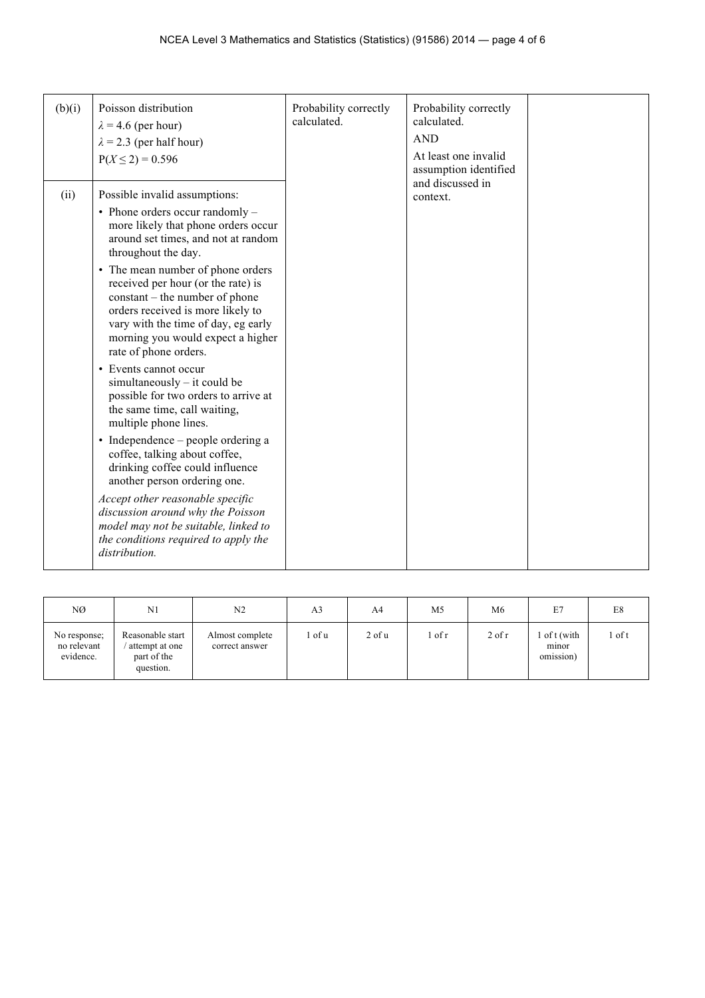| (b)(i) | Poisson distribution                                                                                                                                                                                                                                | Probability correctly<br>calculated. | Probability correctly<br>calculated.      |  |
|--------|-----------------------------------------------------------------------------------------------------------------------------------------------------------------------------------------------------------------------------------------------------|--------------------------------------|-------------------------------------------|--|
|        | $\lambda$ = 4.6 (per hour)                                                                                                                                                                                                                          |                                      |                                           |  |
|        | $\lambda$ = 2.3 (per half hour)                                                                                                                                                                                                                     |                                      | <b>AND</b>                                |  |
|        | $P(X \le 2) = 0.596$                                                                                                                                                                                                                                |                                      | At least one invalid                      |  |
|        |                                                                                                                                                                                                                                                     |                                      | assumption identified<br>and discussed in |  |
| (ii)   | Possible invalid assumptions:                                                                                                                                                                                                                       |                                      | context.                                  |  |
|        | • Phone orders occur randomly -<br>more likely that phone orders occur<br>around set times, and not at random<br>throughout the day.                                                                                                                |                                      |                                           |  |
|        | • The mean number of phone orders<br>received per hour (or the rate) is<br>constant – the number of phone<br>orders received is more likely to<br>vary with the time of day, eg early<br>morning you would expect a higher<br>rate of phone orders. |                                      |                                           |  |
|        | • Events cannot occur<br>simultaneously – it could be<br>possible for two orders to arrive at<br>the same time, call waiting,<br>multiple phone lines.                                                                                              |                                      |                                           |  |
|        | • Independence – people ordering a<br>coffee, talking about coffee,<br>drinking coffee could influence<br>another person ordering one.                                                                                                              |                                      |                                           |  |
|        | Accept other reasonable specific<br>discussion around why the Poisson<br>model may not be suitable, linked to<br>the conditions required to apply the<br>distribution.                                                                              |                                      |                                           |  |

| NØ                                       | N <sub>1</sub>                                                 | N <sub>2</sub>                    | A3   | A4                  | M <sub>5</sub> | M <sub>6</sub> | E7                               | E8   |
|------------------------------------------|----------------------------------------------------------------|-----------------------------------|------|---------------------|----------------|----------------|----------------------------------|------|
| No response;<br>no relevant<br>evidence. | Reasonable start<br>attempt at one<br>part of the<br>question. | Almost complete<br>correct answer | of u | $2$ of $\mathrm{u}$ | . of r         | $2$ of r       | of t (with<br>minor<br>omission) | of t |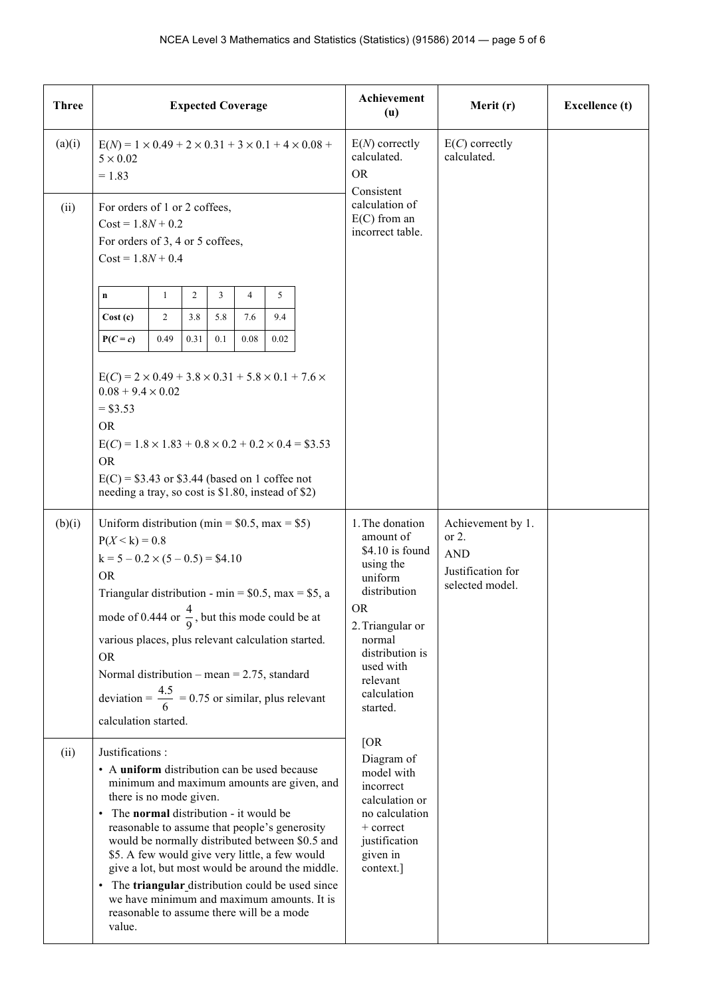| <b>Three</b> | <b>Expected Coverage</b>                                                                                                                                                                                                                                                                                                                                                                                                                                                                                                                                | Achievement<br>(u)                                                                                                                                                                                        | Merit (r)                                                                           | <b>Excellence</b> (t) |
|--------------|---------------------------------------------------------------------------------------------------------------------------------------------------------------------------------------------------------------------------------------------------------------------------------------------------------------------------------------------------------------------------------------------------------------------------------------------------------------------------------------------------------------------------------------------------------|-----------------------------------------------------------------------------------------------------------------------------------------------------------------------------------------------------------|-------------------------------------------------------------------------------------|-----------------------|
| (a)(i)       | $E(N) = 1 \times 0.49 + 2 \times 0.31 + 3 \times 0.1 + 4 \times 0.08 +$<br>$5 \times 0.02$<br>$= 1.83$                                                                                                                                                                                                                                                                                                                                                                                                                                                  | $E(N)$ correctly<br>calculated.<br><b>OR</b><br>Consistent                                                                                                                                                | $E(C)$ correctly<br>calculated.                                                     |                       |
| (ii)         | For orders of 1 or 2 coffees,<br>$Cost = 1.8N + 0.2$<br>For orders of 3, 4 or 5 coffees,<br>$Cost = 1.8N + 0.4$                                                                                                                                                                                                                                                                                                                                                                                                                                         | calculation of<br>$E(C)$ from an<br>incorrect table.                                                                                                                                                      |                                                                                     |                       |
|              | 2<br>3<br>5<br>1<br>4<br>$\mathbf n$<br>3.8<br>9.4<br>Cost(c)<br>$\overline{c}$<br>5.8<br>7.6<br>$P(C = c)$<br>0.49<br>0.31<br>0.1<br>0.08<br>0.02                                                                                                                                                                                                                                                                                                                                                                                                      |                                                                                                                                                                                                           |                                                                                     |                       |
|              | $E(C) = 2 \times 0.49 + 3.8 \times 0.31 + 5.8 \times 0.1 + 7.6 \times$<br>$0.08 + 9.4 \times 0.02$<br>$= $3.53$<br><b>OR</b><br>$E(C) = 1.8 \times 1.83 + 0.8 \times 0.2 + 0.2 \times 0.4 = $3.53$<br><b>OR</b><br>$E(C) = $3.43$ or \$3.44 (based on 1 coffee not<br>needing a tray, so cost is \$1.80, instead of \$2)                                                                                                                                                                                                                                |                                                                                                                                                                                                           |                                                                                     |                       |
| (b)(i)       | Uniform distribution (min = $$0.5$ , max = $$5)$ )<br>$P(X < k) = 0.8$<br>$k = 5 - 0.2 \times (5 - 0.5) = $4.10$<br><b>OR</b><br>Triangular distribution - min = $$0.5$ , max = \$5, a<br>mode of 0.444 or $\frac{4}{9}$ , but this mode could be at<br>various places, plus relevant calculation started.<br><b>OR</b><br>Normal distribution – mean = $2.75$ , standard<br>deviation = $\frac{4.5}{6}$ = 0.75 or similar, plus relevant<br>calculation started.                                                                                       | 1. The donation<br>amount of<br>\$4.10 is found<br>using the<br>uniform<br>distribution<br><b>OR</b><br>2. Triangular or<br>normal<br>distribution is<br>used with<br>relevant<br>calculation<br>started. | Achievement by 1.<br>or $2$ .<br><b>AND</b><br>Justification for<br>selected model. |                       |
| (ii)         | Justifications:<br>• A uniform distribution can be used because<br>minimum and maximum amounts are given, and<br>there is no mode given.<br>• The normal distribution - it would be<br>reasonable to assume that people's generosity<br>would be normally distributed between \$0.5 and<br>\$5. A few would give very little, a few would<br>give a lot, but most would be around the middle.<br>• The triangular distribution could be used since<br>we have minimum and maximum amounts. It is<br>reasonable to assume there will be a mode<br>value. | [OR]<br>Diagram of<br>model with<br>incorrect<br>calculation or<br>no calculation<br>$+$ correct<br>justification<br>given in<br>context.]                                                                |                                                                                     |                       |